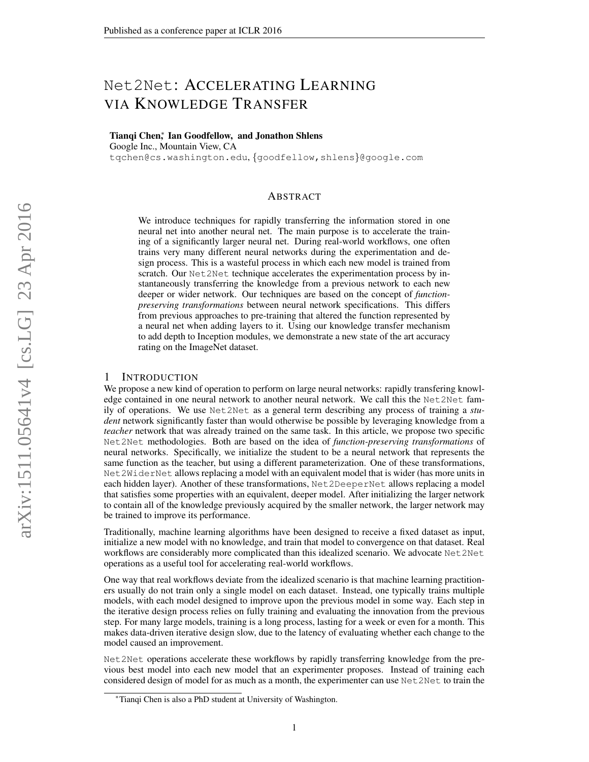# Net2Net: ACCELERATING LEARNING VIA KNOWLEDGE TRANSFER

Tianqi Chen<sup>\*</sup>, Ian Goodfellow, and Jonathon Shlens

Google Inc., Mountain View, CA

tqchen@cs.washington.edu, {goodfellow,shlens}@google.com

# ABSTRACT

We introduce techniques for rapidly transferring the information stored in one neural net into another neural net. The main purpose is to accelerate the training of a significantly larger neural net. During real-world workflows, one often trains very many different neural networks during the experimentation and design process. This is a wasteful process in which each new model is trained from scratch. Our Net 2Net technique accelerates the experimentation process by instantaneously transferring the knowledge from a previous network to each new deeper or wider network. Our techniques are based on the concept of *functionpreserving transformations* between neural network specifications. This differs from previous approaches to pre-training that altered the function represented by a neural net when adding layers to it. Using our knowledge transfer mechanism to add depth to Inception modules, we demonstrate a new state of the art accuracy rating on the ImageNet dataset.

#### 1 INTRODUCTION

We propose a new kind of operation to perform on large neural networks: rapidly transfering knowledge contained in one neural network to another neural network. We call this the Net2Net family of operations. We use Net2Net as a general term describing any process of training a *student* network significantly faster than would otherwise be possible by leveraging knowledge from a *teacher* network that was already trained on the same task. In this article, we propose two specific Net2Net methodologies. Both are based on the idea of *function-preserving transformations* of neural networks. Specifically, we initialize the student to be a neural network that represents the same function as the teacher, but using a different parameterization. One of these transformations, Net2WiderNet allows replacing a model with an equivalent model that is wider (has more units in each hidden layer). Another of these transformations, Net2DeeperNet allows replacing a model that satisfies some properties with an equivalent, deeper model. After initializing the larger network to contain all of the knowledge previously acquired by the smaller network, the larger network may be trained to improve its performance.

Traditionally, machine learning algorithms have been designed to receive a fixed dataset as input, initialize a new model with no knowledge, and train that model to convergence on that dataset. Real workflows are considerably more complicated than this idealized scenario. We advocate Net 2Net operations as a useful tool for accelerating real-world workflows.

One way that real workflows deviate from the idealized scenario is that machine learning practitioners usually do not train only a single model on each dataset. Instead, one typically trains multiple models, with each model designed to improve upon the previous model in some way. Each step in the iterative design process relies on fully training and evaluating the innovation from the previous step. For many large models, training is a long process, lasting for a week or even for a month. This makes data-driven iterative design slow, due to the latency of evaluating whether each change to the model caused an improvement.

Net2Net operations accelerate these workflows by rapidly transferring knowledge from the previous best model into each new model that an experimenter proposes. Instead of training each considered design of model for as much as a month, the experimenter can use Net2Net to train the

<sup>∗</sup>Tianqi Chen is also a PhD student at University of Washington.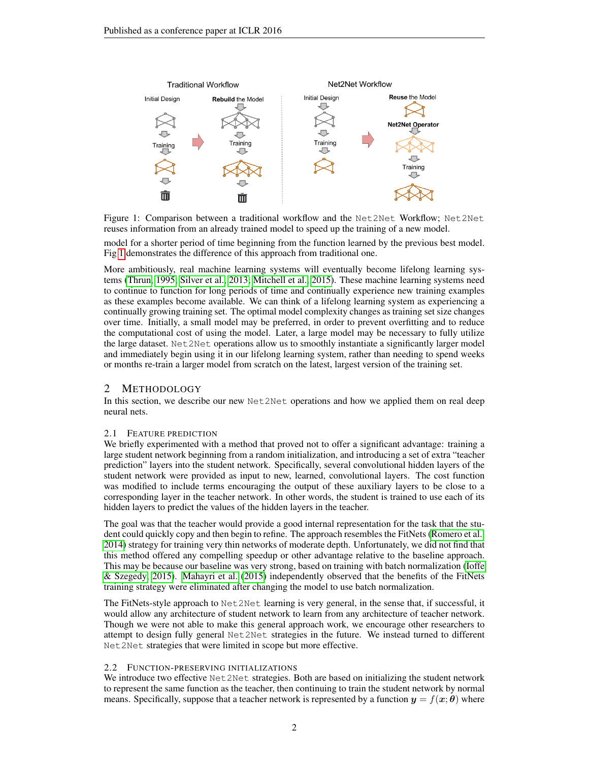

<span id="page-1-0"></span>Figure 1: Comparison between a traditional workflow and the Net2Net Workflow; Net2Net reuses information from an already trained model to speed up the training of a new model.

model for a shorter period of time beginning from the function learned by the previous best model. Fig [1](#page-1-0) demonstrates the difference of this approach from traditional one.

More ambitiously, real machine learning systems will eventually become lifelong learning systems [\(Thrun, 1995;](#page-9-0) [Silver et al., 2013;](#page-9-1) [Mitchell et al., 2015\)](#page-9-2). These machine learning systems need to continue to function for long periods of time and continually experience new training examples as these examples become available. We can think of a lifelong learning system as experiencing a continually growing training set. The optimal model complexity changes as training set size changes over time. Initially, a small model may be preferred, in order to prevent overfitting and to reduce the computational cost of using the model. Later, a large model may be necessary to fully utilize the large dataset. Net2Net operations allow us to smoothly instantiate a significantly larger model and immediately begin using it in our lifelong learning system, rather than needing to spend weeks or months re-train a larger model from scratch on the latest, largest version of the training set.

# 2 METHODOLOGY

In this section, we describe our new Net 2Net operations and how we applied them on real deep neural nets.

# 2.1 FEATURE PREDICTION

We briefly experimented with a method that proved not to offer a significant advantage: training a large student network beginning from a random initialization, and introducing a set of extra "teacher prediction" layers into the student network. Specifically, several convolutional hidden layers of the student network were provided as input to new, learned, convolutional layers. The cost function was modified to include terms encouraging the output of these auxiliary layers to be close to a corresponding layer in the teacher network. In other words, the student is trained to use each of its hidden layers to predict the values of the hidden layers in the teacher.

The goal was that the teacher would provide a good internal representation for the task that the student could quickly copy and then begin to refine. The approach resembles the FitNets [\(Romero et al.,](#page-9-3) [2014\)](#page-9-3) strategy for training very thin networks of moderate depth. Unfortunately, we did not find that this method offered any compelling speedup or other advantage relative to the baseline approach. This may be because our baseline was very strong, based on training with batch normalization [\(Ioffe](#page-9-4) [& Szegedy, 2015\)](#page-9-4). [Mahayri et al.](#page-9-5) [\(2015\)](#page-9-5) independently observed that the benefits of the FitNets training strategy were eliminated after changing the model to use batch normalization.

The FitNets-style approach to Net2Net learning is very general, in the sense that, if successful, it would allow any architecture of student network to learn from any architecture of teacher network. Though we were not able to make this general approach work, we encourage other researchers to attempt to design fully general Net2Net strategies in the future. We instead turned to different Net2Net strategies that were limited in scope but more effective.

# 2.2 FUNCTION-PRESERVING INITIALIZATIONS

We introduce two effective Net 2Net strategies. Both are based on initializing the student network to represent the same function as the teacher, then continuing to train the student network by normal means. Specifically, suppose that a teacher network is represented by a function  $y = f(x; \theta)$  where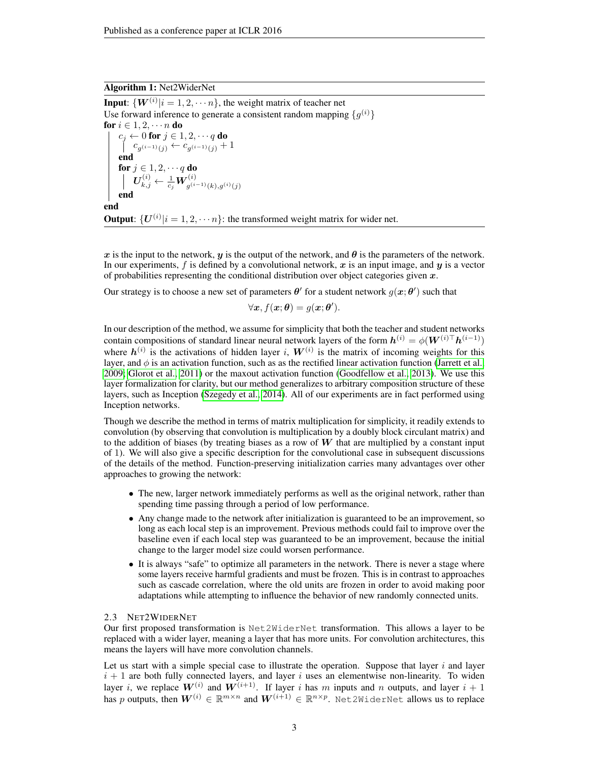#### Algorithm 1: Net2WiderNet

**Input:**  $\{W^{(i)}|i=1,2,\cdots n\}$ , the weight matrix of teacher net Use forward inference to generate a consistent random mapping  $\{g^{(i)}\}$ for  $i \in 1, 2, \cdots n$  do  $c_j \leftarrow 0$  for  $j \in 1, 2, \cdots q$  do  $c_{g(i-1)(j)} \leftarrow c_{g(i-1)(j)} + 1$ end for  $j \in 1, 2, \cdots q$  do  $\bm{U}_{k,j}^{(i)} \leftarrow \frac{1}{c_j} \bm{W}^{(i)}_{g^{(i-1)}(k),g^{(i)}(j)}$ end end **Output:**  $\{U^{(i)}|i=1,2,\dots n\}$ : the transformed weight matrix for wider net.

x is the input to the network, y is the output of the network, and  $\theta$  is the parameters of the network. In our experiments,  $f$  is defined by a convolutional network,  $x$  is an input image, and  $y$  is a vector of probabilities representing the conditional distribution over object categories given  $x$ .

Our strategy is to choose a new set of parameters  $\theta'$  for a student network  $g(x;\theta')$  such that

$$
\forall \mathbf{x}, f(\mathbf{x}; \boldsymbol{\theta}) = g(\mathbf{x}; \boldsymbol{\theta}').
$$

In our description of the method, we assume for simplicity that both the teacher and student networks contain compositions of standard linear neural network layers of the form  $h^{(i)} = \phi(W^{(i)\top} h^{(i-1)})$ where  $h^{(i)}$  is the activations of hidden layer i,  $W^{(i)}$  is the matrix of incoming weights for this layer, and  $\phi$  is an activation function, such as as the rectified linear activation function [\(Jarrett et al.,](#page-9-6) [2009;](#page-9-6) [Glorot et al., 2011\)](#page-9-7) or the maxout activation function [\(Goodfellow et al., 2013\)](#page-9-8). We use this layer formalization for clarity, but our method generalizes to arbitrary composition structure of these layers, such as Inception [\(Szegedy et al., 2014\)](#page-9-9). All of our experiments are in fact performed using Inception networks.

Though we describe the method in terms of matrix multiplication for simplicity, it readily extends to convolution (by observing that convolution is multiplication by a doubly block circulant matrix) and to the addition of biases (by treating biases as a row of  $W$  that are multiplied by a constant input of 1). We will also give a specific description for the convolutional case in subsequent discussions of the details of the method. Function-preserving initialization carries many advantages over other approaches to growing the network:

- The new, larger network immediately performs as well as the original network, rather than spending time passing through a period of low performance.
- Any change made to the network after initialization is guaranteed to be an improvement, so long as each local step is an improvement. Previous methods could fail to improve over the baseline even if each local step was guaranteed to be an improvement, because the initial change to the larger model size could worsen performance.
- It is always "safe" to optimize all parameters in the network. There is never a stage where some layers receive harmful gradients and must be frozen. This is in contrast to approaches such as cascade correlation, where the old units are frozen in order to avoid making poor adaptations while attempting to influence the behavior of new randomly connected units.

#### 2.3 NET2WIDERNET

Our first proposed transformation is Net2WiderNet transformation. This allows a layer to be replaced with a wider layer, meaning a layer that has more units. For convolution architectures, this means the layers will have more convolution channels.

Let us start with a simple special case to illustrate the operation. Suppose that layer  $i$  and layer  $i + 1$  are both fully connected layers, and layer i uses an elementwise non-linearity. To widen layer *i*, we replace  $W^{(i)}$  and  $W^{(i+1)}$ . If layer *i* has m inputs and *n* outputs, and layer  $i + 1$ has p outputs, then  $\boldsymbol{W}^{(i)} \in \mathbb{R}^{m \times n}$  and  $\boldsymbol{W}^{(i+1)} \in \mathbb{R}^{n \times p}$ . Net2WiderNet allows us to replace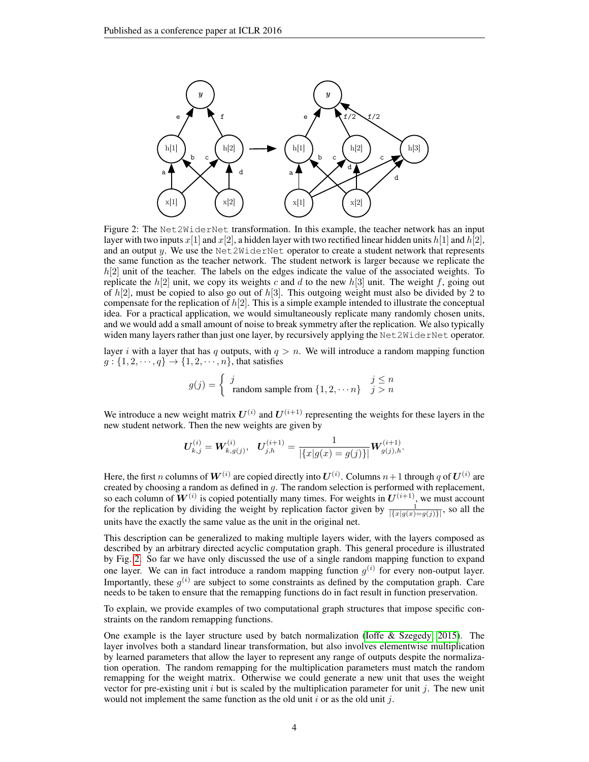

<span id="page-3-0"></span>Figure 2: The Net2WiderNet transformation. In this example, the teacher network has an input layer with two inputs  $x[1]$  and  $x[2]$ , a hidden layer with two rectified linear hidden units  $h[1]$  and  $h[2]$ , and an output  $y$ . We use the Net2WiderNet operator to create a student network that represents the same function as the teacher network. The student network is larger because we replicate the  $h[2]$  unit of the teacher. The labels on the edges indicate the value of the associated weights. To replicate the  $h[2]$  unit, we copy its weights c and d to the new  $h[3]$  unit. The weight f, going out of  $h[2]$ , must be copied to also go out of  $h[3]$ . This outgoing weight must also be divided by 2 to compensate for the replication of  $h[2]$ . This is a simple example intended to illustrate the conceptual idea. For a practical application, we would simultaneously replicate many randomly chosen units, and we would add a small amount of noise to break symmetry after the replication. We also typically widen many layers rather than just one layer, by recursively applying the Net  $2W \cdot \text{det}N$ et operator.

layer i with a layer that has q outputs, with  $q > n$ . We will introduce a random mapping function  $g: \{1, 2, \dots, q\} \rightarrow \{1, 2, \dots, n\}$ , that satisfies

$$
g(j) = \begin{cases} j & j \le n \\ \text{ random sample from } \{1, 2, \dots n\} & j > n \end{cases}
$$

We introduce a new weight matrix  $U^{(i)}$  and  $U^{(i+1)}$  representing the weights for these layers in the new student network. Then the new weights are given by

$$
\boldsymbol{U}_{k,j}^{(i)} = \boldsymbol{W}_{k,g(j)}^{(i)}, \quad \boldsymbol{U}_{j,h}^{(i+1)} = \frac{1}{|\{x|g(x) = g(j)\}|} \boldsymbol{W}_{g(j),h}^{(i+1)}.
$$

Here, the first n columns of  $W^{(i)}$  are copied directly into  $U^{(i)}$ . Columns  $n+1$  through q of  $U^{(i)}$  are created by choosing a random as defined in g. The random selection is performed with replacement, so each column of  $W^{(i)}$  is copied potentially many times. For weights in  $U^{(i+1)}$ , we must account for the replication by dividing the weight by replication factor given by  $\frac{1}{|\{x|g(x)=g(j)\}|}$ , so all the units have the exactly the same value as the unit in the original net.

This description can be generalized to making multiple layers wider, with the layers composed as described by an arbitrary directed acyclic computation graph. This general procedure is illustrated by Fig. [2.](#page-3-0) So far we have only discussed the use of a single random mapping function to expand one layer. We can in fact introduce a random mapping function  $g^{(i)}$  for every non-output layer. Importantly, these  $g^{(i)}$  are subject to some constraints as defined by the computation graph. Care needs to be taken to ensure that the remapping functions do in fact result in function preservation.

To explain, we provide examples of two computational graph structures that impose specific constraints on the random remapping functions.

One example is the layer structure used by batch normalization [\(Ioffe & Szegedy, 2015\)](#page-9-4). The layer involves both a standard linear transformation, but also involves elementwise multiplication by learned parameters that allow the layer to represent any range of outputs despite the normalization operation. The random remapping for the multiplication parameters must match the random remapping for the weight matrix. Otherwise we could generate a new unit that uses the weight vector for pre-existing unit  $i$  but is scaled by the multiplication parameter for unit  $j$ . The new unit would not implement the same function as the old unit  $i$  or as the old unit  $j$ .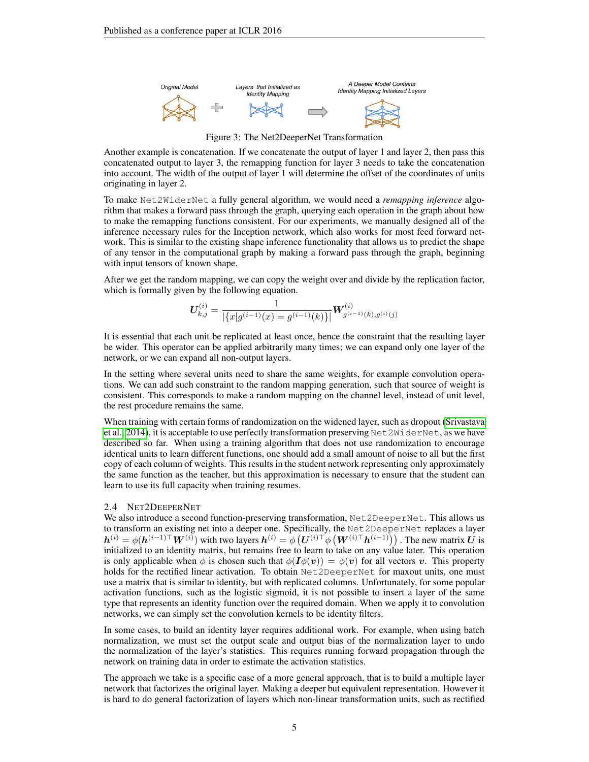

Figure 3: The Net2DeeperNet Transformation

Another example is concatenation. If we concatenate the output of layer 1 and layer 2, then pass this concatenated output to layer 3, the remapping function for layer 3 needs to take the concatenation into account. The width of the output of layer 1 will determine the offset of the coordinates of units originating in layer 2.

To make Net2WiderNet a fully general algorithm, we would need a *remapping inference* algorithm that makes a forward pass through the graph, querying each operation in the graph about how to make the remapping functions consistent. For our experiments, we manually designed all of the inference necessary rules for the Inception network, which also works for most feed forward network. This is similar to the existing shape inference functionality that allows us to predict the shape of any tensor in the computational graph by making a forward pass through the graph, beginning with input tensors of known shape.

After we get the random mapping, we can copy the weight over and divide by the replication factor, which is formally given by the following equation.

$$
\boldsymbol{U}_{k,j}^{(i)} = \frac{1}{|\{x|g^{(i-1)}(x) = g^{(i-1)}(k)\}|} \boldsymbol{W}_{g^{(i-1)}(k),g^{(i)}(j)}^{(i)}
$$

It is essential that each unit be replicated at least once, hence the constraint that the resulting layer be wider. This operator can be applied arbitrarily many times; we can expand only one layer of the network, or we can expand all non-output layers.

In the setting where several units need to share the same weights, for example convolution operations. We can add such constraint to the random mapping generation, such that source of weight is consistent. This corresponds to make a random mapping on the channel level, instead of unit level, the rest procedure remains the same.

When training with certain forms of randomization on the widened layer, such as dropout [\(Srivastava](#page-9-10) [et al., 2014\)](#page-9-10), it is acceptable to use perfectly transformation preserving Net2WiderNet, as we have described so far. When using a training algorithm that does not use randomization to encourage identical units to learn different functions, one should add a small amount of noise to all but the first copy of each column of weights. This results in the student network representing only approximately the same function as the teacher, but this approximation is necessary to ensure that the student can learn to use its full capacity when training resumes.

#### 2.4 NET2DEEPERNET

We also introduce a second function-preserving transformation, Net2DeeperNet. This allows us to transform an existing net into a deeper one. Specifically, the Net2DeeperNet replaces a layer  $h^{(i)} = \phi(h^{(i-1)\top}W^{(i)})$  with two layers  $h^{(i)} = \phi(U^{(i)\top}\phi(W^{(i)\top}h^{(i-1)}))$ . The new matrix U is initialized to an identity matrix, but remains free to learn to take on any value later. This operation is only applicable when  $\phi$  is chosen such that  $\phi(I\phi(v)) = \phi(v)$  for all vectors v. This property holds for the rectified linear activation. To obtain Net2DeeperNet for maxout units, one must use a matrix that is similar to identity, but with replicated columns. Unfortunately, for some popular activation functions, such as the logistic sigmoid, it is not possible to insert a layer of the same type that represents an identity function over the required domain. When we apply it to convolution networks, we can simply set the convolution kernels to be identity filters.

In some cases, to build an identity layer requires additional work. For example, when using batch normalization, we must set the output scale and output bias of the normalization layer to undo the normalization of the layer's statistics. This requires running forward propagation through the network on training data in order to estimate the activation statistics.

The approach we take is a specific case of a more general approach, that is to build a multiple layer network that factorizes the original layer. Making a deeper but equivalent representation. However it is hard to do general factorization of layers which non-linear transformation units, such as rectified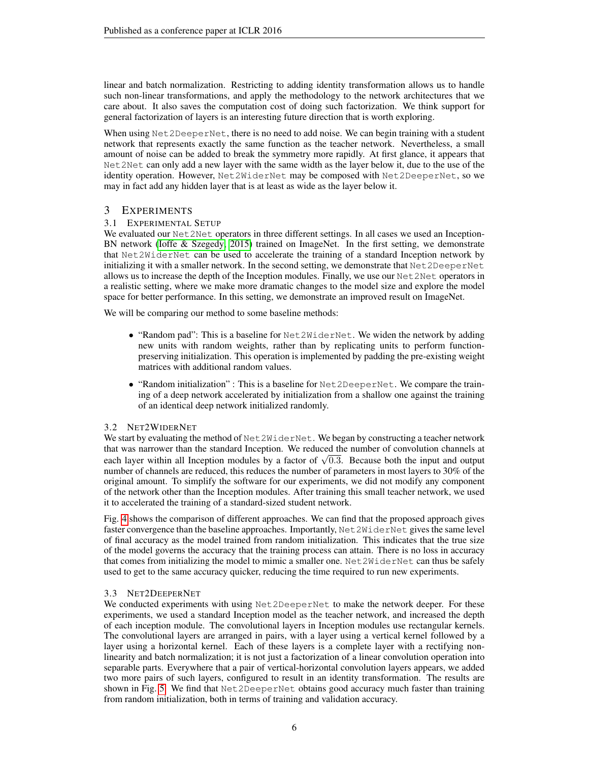linear and batch normalization. Restricting to adding identity transformation allows us to handle such non-linear transformations, and apply the methodology to the network architectures that we care about. It also saves the computation cost of doing such factorization. We think support for general factorization of layers is an interesting future direction that is worth exploring.

When using Net2DeeperNet, there is no need to add noise. We can begin training with a student network that represents exactly the same function as the teacher network. Nevertheless, a small amount of noise can be added to break the symmetry more rapidly. At first glance, it appears that Net2Net can only add a new layer with the same width as the layer below it, due to the use of the identity operation. However, Net2WiderNet may be composed with Net2DeeperNet, so we may in fact add any hidden layer that is at least as wide as the layer below it.

# 3 EXPERIMENTS

# 3.1 EXPERIMENTAL SETUP

We evaluated our Net 2Net operators in three different settings. In all cases we used an Inception-BN network [\(Ioffe & Szegedy, 2015\)](#page-9-4) trained on ImageNet. In the first setting, we demonstrate that Net2WiderNet can be used to accelerate the training of a standard Inception network by initializing it with a smaller network. In the second setting, we demonstrate that Net2DeeperNet allows us to increase the depth of the Inception modules. Finally, we use our  $Net2Net$  operators in a realistic setting, where we make more dramatic changes to the model size and explore the model space for better performance. In this setting, we demonstrate an improved result on ImageNet.

We will be comparing our method to some baseline methods:

- "Random pad": This is a baseline for  $Net2WiderNet$ . We widen the network by adding new units with random weights, rather than by replicating units to perform functionpreserving initialization. This operation is implemented by padding the pre-existing weight matrices with additional random values.
- "Random initialization" : This is a baseline for Net 2DeeperNet. We compare the training of a deep network accelerated by initialization from a shallow one against the training of an identical deep network initialized randomly.

# 3.2 NET2WIDERNET

We start by evaluating the method of Net 2WiderNet. We began by constructing a teacher network that was narrower than the standard Inception. We reduced the number of convolution channels at that was narrower than the standard inception. We reduced the number of convolution channels at each layer within all Inception modules by a factor of  $\sqrt{0.3}$ . Because both the input and output number of channels are reduced, this reduces the number of parameters in most layers to 30% of the original amount. To simplify the software for our experiments, we did not modify any component of the network other than the Inception modules. After training this small teacher network, we used it to accelerated the training of a standard-sized student network.

Fig. [4](#page-6-0) shows the comparison of different approaches. We can find that the proposed approach gives faster convergence than the baseline approaches. Importantly, Net2WiderNet gives the same level of final accuracy as the model trained from random initialization. This indicates that the true size of the model governs the accuracy that the training process can attain. There is no loss in accuracy that comes from initializing the model to mimic a smaller one. Net2WiderNet can thus be safely used to get to the same accuracy quicker, reducing the time required to run new experiments.

# 3.3 NET2DEEPERNET

We conducted experiments with using Net2DeeperNet to make the network deeper. For these experiments, we used a standard Inception model as the teacher network, and increased the depth of each inception module. The convolutional layers in Inception modules use rectangular kernels. The convolutional layers are arranged in pairs, with a layer using a vertical kernel followed by a layer using a horizontal kernel. Each of these layers is a complete layer with a rectifying nonlinearity and batch normalization; it is not just a factorization of a linear convolution operation into separable parts. Everywhere that a pair of vertical-horizontal convolution layers appears, we added two more pairs of such layers, configured to result in an identity transformation. The results are shown in Fig. [5.](#page-7-0) We find that Net2DeeperNet obtains good accuracy much faster than training from random initialization, both in terms of training and validation accuracy.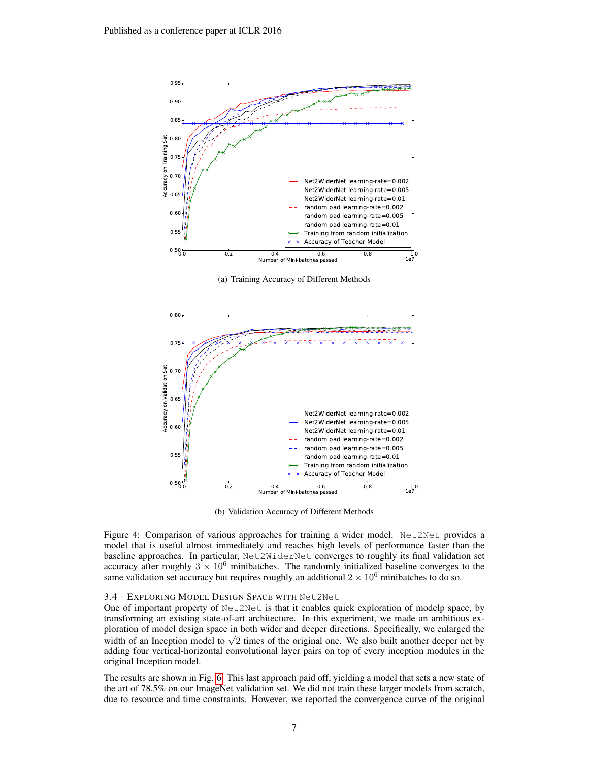

(a) Training Accuracy of Different Methods



(b) Validation Accuracy of Different Methods

<span id="page-6-0"></span>Figure 4: Comparison of various approaches for training a wider model. Net2Net provides a model that is useful almost immediately and reaches high levels of performance faster than the baseline approaches. In particular, Net2WiderNet converges to roughly its final validation set accuracy after roughly  $3 \times 10^6$  minibatches. The randomly initialized baseline converges to the same validation set accuracy but requires roughly an additional  $2 \times 10^6$  minibatches to do so.

#### 3.4 EXPLORING MODEL DESIGN SPACE WITH Net2Net

One of important property of Net2Net is that it enables quick exploration of modelp space, by transforming an existing state-of-art architecture. In this experiment, we made an ambitious exploration of model design space in both wider and deeper directions. Specifically, we enlarged the pioration of model design space in both wider and deeper directions. Specifically, we enlarged the width of an Inception model to  $\sqrt{2}$  times of the original one. We also built another deeper net by adding four vertical-horizontal convolutional layer pairs on top of every inception modules in the original Inception model.

The results are shown in Fig. [6.](#page-8-0) This last approach paid off, yielding a model that sets a new state of the art of 78.5% on our ImageNet validation set. We did not train these larger models from scratch, due to resource and time constraints. However, we reported the convergence curve of the original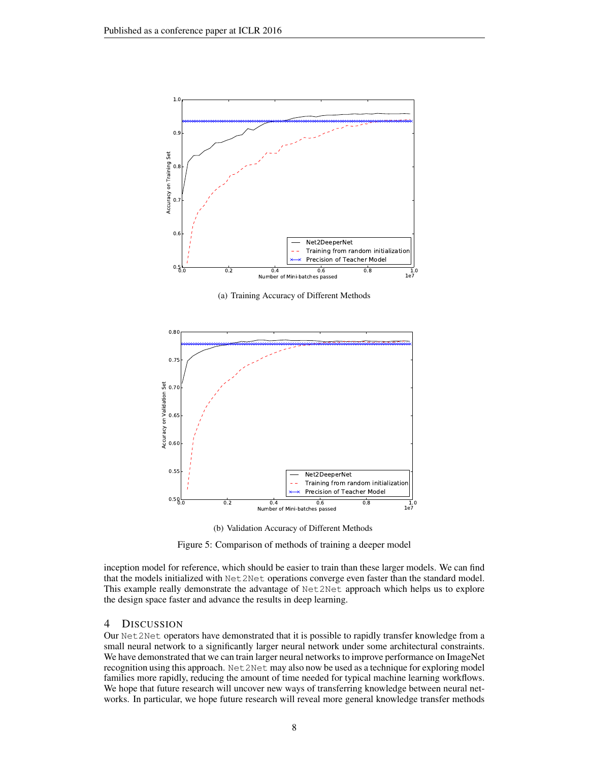

(a) Training Accuracy of Different Methods



<span id="page-7-0"></span>(b) Validation Accuracy of Different Methods

Figure 5: Comparison of methods of training a deeper model

inception model for reference, which should be easier to train than these larger models. We can find that the models initialized with Net2Net operations converge even faster than the standard model. This example really demonstrate the advantage of Net2Net approach which helps us to explore the design space faster and advance the results in deep learning.

# 4 DISCUSSION

Our Net2Net operators have demonstrated that it is possible to rapidly transfer knowledge from a small neural network to a significantly larger neural network under some architectural constraints. We have demonstrated that we can train larger neural networks to improve performance on ImageNet recognition using this approach. Net2Net may also now be used as a technique for exploring model families more rapidly, reducing the amount of time needed for typical machine learning workflows. We hope that future research will uncover new ways of transferring knowledge between neural networks. In particular, we hope future research will reveal more general knowledge transfer methods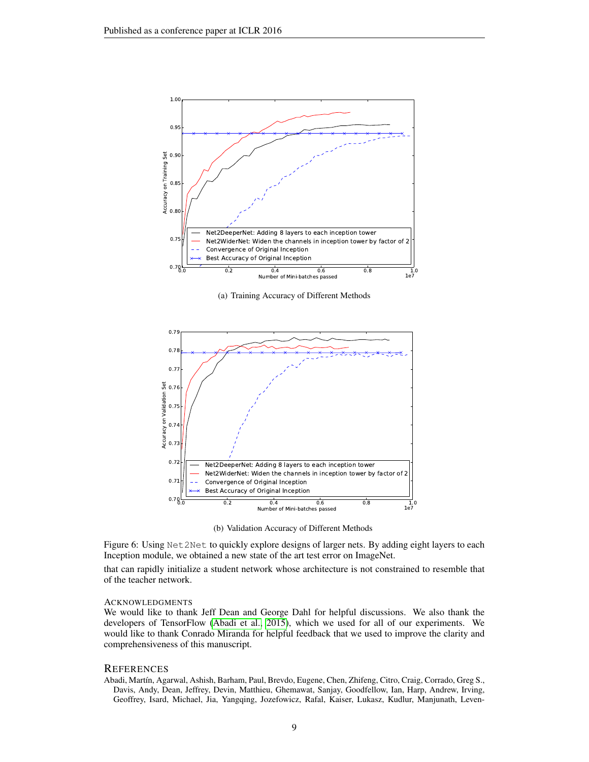

(a) Training Accuracy of Different Methods



(b) Validation Accuracy of Different Methods

<span id="page-8-0"></span>Figure 6: Using Net2Net to quickly explore designs of larger nets. By adding eight layers to each Inception module, we obtained a new state of the art test error on ImageNet.

that can rapidly initialize a student network whose architecture is not constrained to resemble that of the teacher network.

#### ACKNOWLEDGMENTS

We would like to thank Jeff Dean and George Dahl for helpful discussions. We also thank the developers of TensorFlow [\(Abadi et al., 2015\)](#page-8-1), which we used for all of our experiments. We would like to thank Conrado Miranda for helpful feedback that we used to improve the clarity and comprehensiveness of this manuscript.

# **REFERENCES**

<span id="page-8-1"></span>Abadi, Mart´ın, Agarwal, Ashish, Barham, Paul, Brevdo, Eugene, Chen, Zhifeng, Citro, Craig, Corrado, Greg S., Davis, Andy, Dean, Jeffrey, Devin, Matthieu, Ghemawat, Sanjay, Goodfellow, Ian, Harp, Andrew, Irving, Geoffrey, Isard, Michael, Jia, Yangqing, Jozefowicz, Rafal, Kaiser, Lukasz, Kudlur, Manjunath, Leven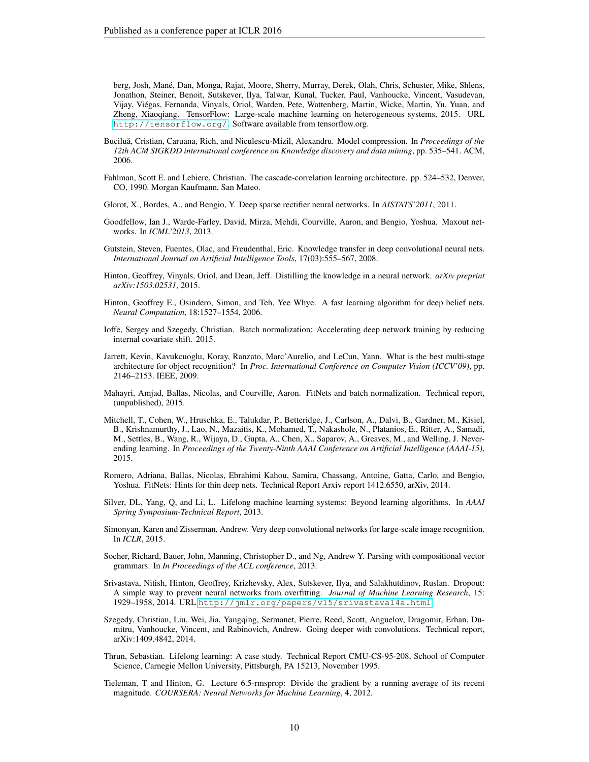berg, Josh, Mane, Dan, Monga, Rajat, Moore, Sherry, Murray, Derek, Olah, Chris, Schuster, Mike, Shlens, ´ Jonathon, Steiner, Benoit, Sutskever, Ilya, Talwar, Kunal, Tucker, Paul, Vanhoucke, Vincent, Vasudevan, Vijay, Viegas, Fernanda, Vinyals, Oriol, Warden, Pete, Wattenberg, Martin, Wicke, Martin, Yu, Yuan, and ´ Zheng, Xiaoqiang. TensorFlow: Large-scale machine learning on heterogeneous systems, 2015. URL <http://tensorflow.org/>. Software available from tensorflow.org.

- <span id="page-9-15"></span>Buciluă, Cristian, Caruana, Rich, and Niculescu-Mizil, Alexandru. Model compression. In Proceedings of the *12th ACM SIGKDD international conference on Knowledge discovery and data mining*, pp. 535–541. ACM, 2006.
- <span id="page-9-11"></span>Fahlman, Scott E. and Lebiere, Christian. The cascade-correlation learning architecture. pp. 524–532, Denver, CO, 1990. Morgan Kaufmann, San Mateo.
- <span id="page-9-7"></span>Glorot, X., Bordes, A., and Bengio, Y. Deep sparse rectifier neural networks. In *AISTATS'2011*, 2011.
- <span id="page-9-8"></span>Goodfellow, Ian J., Warde-Farley, David, Mirza, Mehdi, Courville, Aaron, and Bengio, Yoshua. Maxout networks. In *ICML'2013*, 2013.
- <span id="page-9-12"></span>Gutstein, Steven, Fuentes, Olac, and Freudenthal, Eric. Knowledge transfer in deep convolutional neural nets. *International Journal on Artificial Intelligence Tools*, 17(03):555–567, 2008.
- <span id="page-9-16"></span>Hinton, Geoffrey, Vinyals, Oriol, and Dean, Jeff. Distilling the knowledge in a neural network. *arXiv preprint arXiv:1503.02531*, 2015.
- <span id="page-9-18"></span>Hinton, Geoffrey E., Osindero, Simon, and Teh, Yee Whye. A fast learning algorithm for deep belief nets. *Neural Computation*, 18:1527–1554, 2006.
- <span id="page-9-4"></span>Ioffe, Sergey and Szegedy, Christian. Batch normalization: Accelerating deep network training by reducing internal covariate shift. 2015.
- <span id="page-9-6"></span>Jarrett, Kevin, Kavukcuoglu, Koray, Ranzato, Marc'Aurelio, and LeCun, Yann. What is the best multi-stage architecture for object recognition? In *Proc. International Conference on Computer Vision (ICCV'09)*, pp. 2146–2153. IEEE, 2009.
- <span id="page-9-5"></span>Mahayri, Amjad, Ballas, Nicolas, and Courville, Aaron. FitNets and batch normalization. Technical report, (unpublished), 2015.
- <span id="page-9-2"></span>Mitchell, T., Cohen, W., Hruschka, E., Talukdar, P., Betteridge, J., Carlson, A., Dalvi, B., Gardner, M., Kisiel, B., Krishnamurthy, J., Lao, N., Mazaitis, K., Mohamed, T., Nakashole, N., Platanios, E., Ritter, A., Samadi, M., Settles, B., Wang, R., Wijaya, D., Gupta, A., Chen, X., Saparov, A., Greaves, M., and Welling, J. Neverending learning. In *Proceedings of the Twenty-Ninth AAAI Conference on Artificial Intelligence (AAAI-15)*, 2015.
- <span id="page-9-3"></span>Romero, Adriana, Ballas, Nicolas, Ebrahimi Kahou, Samira, Chassang, Antoine, Gatta, Carlo, and Bengio, Yoshua. FitNets: Hints for thin deep nets. Technical Report Arxiv report 1412.6550, arXiv, 2014.
- <span id="page-9-1"></span>Silver, DL, Yang, Q, and Li, L. Lifelong machine learning systems: Beyond learning algorithms. In *AAAI Spring Symposium-Technical Report*, 2013.
- <span id="page-9-13"></span>Simonyan, Karen and Zisserman, Andrew. Very deep convolutional networks for large-scale image recognition. In *ICLR*, 2015.
- <span id="page-9-17"></span>Socher, Richard, Bauer, John, Manning, Christopher D., and Ng, Andrew Y. Parsing with compositional vector grammars. In *In Proceedings of the ACL conference*, 2013.
- <span id="page-9-10"></span>Srivastava, Nitish, Hinton, Geoffrey, Krizhevsky, Alex, Sutskever, Ilya, and Salakhutdinov, Ruslan. Dropout: A simple way to prevent neural networks from overfitting. *Journal of Machine Learning Research*, 15: 1929–1958, 2014. URL <http://jmlr.org/papers/v15/srivastava14a.html>.
- <span id="page-9-9"></span>Szegedy, Christian, Liu, Wei, Jia, Yangqing, Sermanet, Pierre, Reed, Scott, Anguelov, Dragomir, Erhan, Dumitru, Vanhoucke, Vincent, and Rabinovich, Andrew. Going deeper with convolutions. Technical report, arXiv:1409.4842, 2014.
- <span id="page-9-0"></span>Thrun, Sebastian. Lifelong learning: A case study. Technical Report CMU-CS-95-208, School of Computer Science, Carnegie Mellon University, Pittsburgh, PA 15213, November 1995.
- <span id="page-9-14"></span>Tieleman, T and Hinton, G. Lecture 6.5-rmsprop: Divide the gradient by a running average of its recent magnitude. *COURSERA: Neural Networks for Machine Learning*, 4, 2012.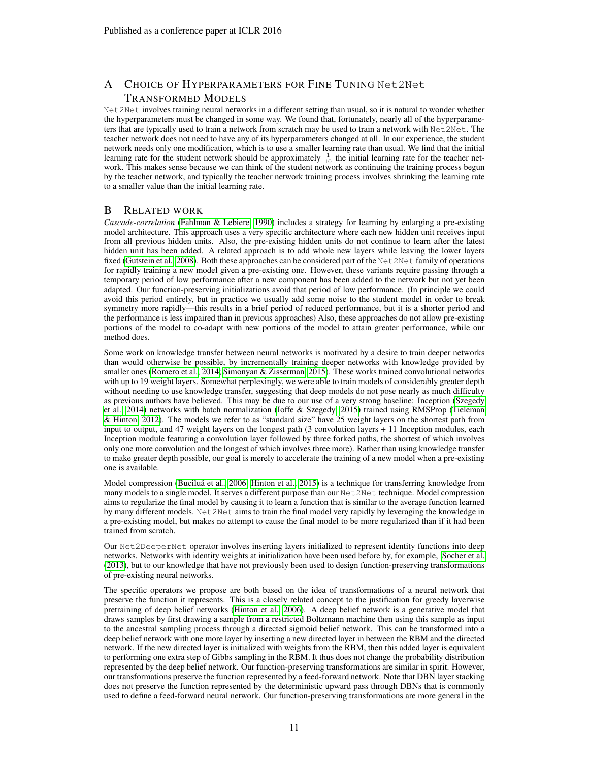# A CHOICE OF HYPERPARAMETERS FOR FINE TUNING Net2Net TRANSFORMED MODELS

Net2Net involves training neural networks in a different setting than usual, so it is natural to wonder whether the hyperparameters must be changed in some way. We found that, fortunately, nearly all of the hyperparameters that are typically used to train a network from scratch may be used to train a network with Net2Net. The teacher network does not need to have any of its hyperparameters changed at all. In our experience, the student network needs only one modification, which is to use a smaller learning rate than usual. We find that the initial learning rate for the student network should be approximately  $\frac{1}{10}$  the initial learning rate for the teacher network. This makes sense because we can think of the student network as continuing the training process begun by the teacher network, and typically the teacher network training process involves shrinking the learning rate to a smaller value than the initial learning rate.

# B RELATED WORK

*Cascade-correlation* [\(Fahlman & Lebiere, 1990\)](#page-9-11) includes a strategy for learning by enlarging a pre-existing model architecture. This approach uses a very specific architecture where each new hidden unit receives input from all previous hidden units. Also, the pre-existing hidden units do not continue to learn after the latest hidden unit has been added. A related approach is to add whole new layers while leaving the lower layers fixed [\(Gutstein et al., 2008\)](#page-9-12). Both these approaches can be considered part of the Net2Net family of operations for rapidly training a new model given a pre-existing one. However, these variants require passing through a temporary period of low performance after a new component has been added to the network but not yet been adapted. Our function-preserving initializations avoid that period of low performance. (In principle we could avoid this period entirely, but in practice we usually add some noise to the student model in order to break symmetry more rapidly—this results in a brief period of reduced performance, but it is a shorter period and the performance is less impaired than in previous approaches) Also, these approaches do not allow pre-existing portions of the model to co-adapt with new portions of the model to attain greater performance, while our method does.

Some work on knowledge transfer between neural networks is motivated by a desire to train deeper networks than would otherwise be possible, by incrementally training deeper networks with knowledge provided by smaller ones [\(Romero et al., 2014;](#page-9-3) [Simonyan & Zisserman, 2015\)](#page-9-13). These works trained convolutional networks with up to 19 weight layers. Somewhat perplexingly, we were able to train models of considerably greater depth without needing to use knowledge transfer, suggesting that deep models do not pose nearly as much difficulty as previous authors have believed. This may be due to our use of a very strong baseline: Inception [\(Szegedy](#page-9-9) [et al., 2014\)](#page-9-9) networks with batch normalization [\(Ioffe & Szegedy, 2015\)](#page-9-4) trained using RMSProp [\(Tieleman](#page-9-14) [& Hinton, 2012\)](#page-9-14). The models we refer to as "standard size" have 25 weight layers on the shortest path from input to output, and 47 weight layers on the longest path (3 convolution layers + 11 Inception modules, each Inception module featuring a convolution layer followed by three forked paths, the shortest of which involves only one more convolution and the longest of which involves three more). Rather than using knowledge transfer to make greater depth possible, our goal is merely to accelerate the training of a new model when a pre-existing one is available.

Model compression (Buciluă et al., 2006; [Hinton et al., 2015\)](#page-9-16) is a technique for transferring knowledge from many models to a single model. It serves a different purpose than our Net2Net technique. Model compression aims to regularize the final model by causing it to learn a function that is similar to the average function learned by many different models. Net2Net aims to train the final model very rapidly by leveraging the knowledge in a pre-existing model, but makes no attempt to cause the final model to be more regularized than if it had been trained from scratch.

Our Net2DeeperNet operator involves inserting layers initialized to represent identity functions into deep networks. Networks with identity weights at initialization have been used before by, for example, [Socher et al.](#page-9-17) [\(2013\)](#page-9-17), but to our knowledge that have not previously been used to design function-preserving transformations of pre-existing neural networks.

The specific operators we propose are both based on the idea of transformations of a neural network that preserve the function it represents. This is a closely related concept to the justification for greedy layerwise pretraining of deep belief networks [\(Hinton et al., 2006\)](#page-9-18). A deep belief network is a generative model that draws samples by first drawing a sample from a restricted Boltzmann machine then using this sample as input to the ancestral sampling process through a directed sigmoid belief network. This can be transformed into a deep belief network with one more layer by inserting a new directed layer in between the RBM and the directed network. If the new directed layer is initialized with weights from the RBM, then this added layer is equivalent to performing one extra step of Gibbs sampling in the RBM. It thus does not change the probability distribution represented by the deep belief network. Our function-preserving transformations are similar in spirit. However, our transformations preserve the function represented by a feed-forward network. Note that DBN layer stacking does not preserve the function represented by the deterministic upward pass through DBNs that is commonly used to define a feed-forward neural network. Our function-preserving transformations are more general in the